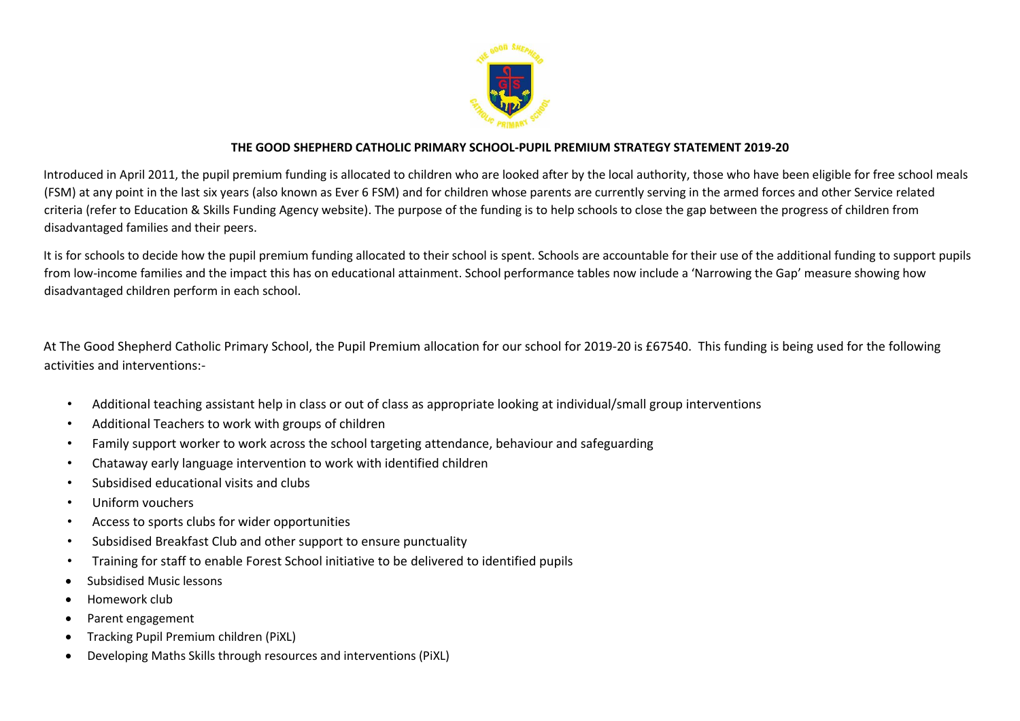

# **THE GOOD SHEPHERD CATHOLIC PRIMARY SCHOOL-PUPIL PREMIUM STRATEGY STATEMENT 2019-20**

Introduced in April 2011, the pupil premium funding is allocated to children who are looked after by the local authority, those who have been eligible for free school meals (FSM) at any point in the last six years (also known as Ever 6 FSM) and for children whose parents are currently serving in the armed forces and other Service related criteria (refer to Education & Skills Funding Agency website). The purpose of the funding is to help schools to close the gap between the progress of children from disadvantaged families and their peers.

It is for schools to decide how the pupil premium funding allocated to their school is spent. Schools are accountable for their use of the additional funding to support pupils from low-income families and the impact this has on educational attainment. School performance tables now include a 'Narrowing the Gap' measure showing how disadvantaged children perform in each school.

At The Good Shepherd Catholic Primary School, the Pupil Premium allocation for our school for 2019-20 is £67540. This funding is being used for the following activities and interventions:-

- Additional teaching assistant help in class or out of class as appropriate looking at individual/small group interventions
- Additional Teachers to work with groups of children
- Family support worker to work across the school targeting attendance, behaviour and safeguarding
- Chataway early language intervention to work with identified children
- Subsidised educational visits and clubs
- Uniform vouchers
- Access to sports clubs for wider opportunities
- Subsidised Breakfast Club and other support to ensure punctuality
- Training for staff to enable Forest School initiative to be delivered to identified pupils
- Subsidised Music lessons
- Homework club
- Parent engagement
- Tracking Pupil Premium children (PiXL)
- Developing Maths Skills through resources and interventions (PiXL)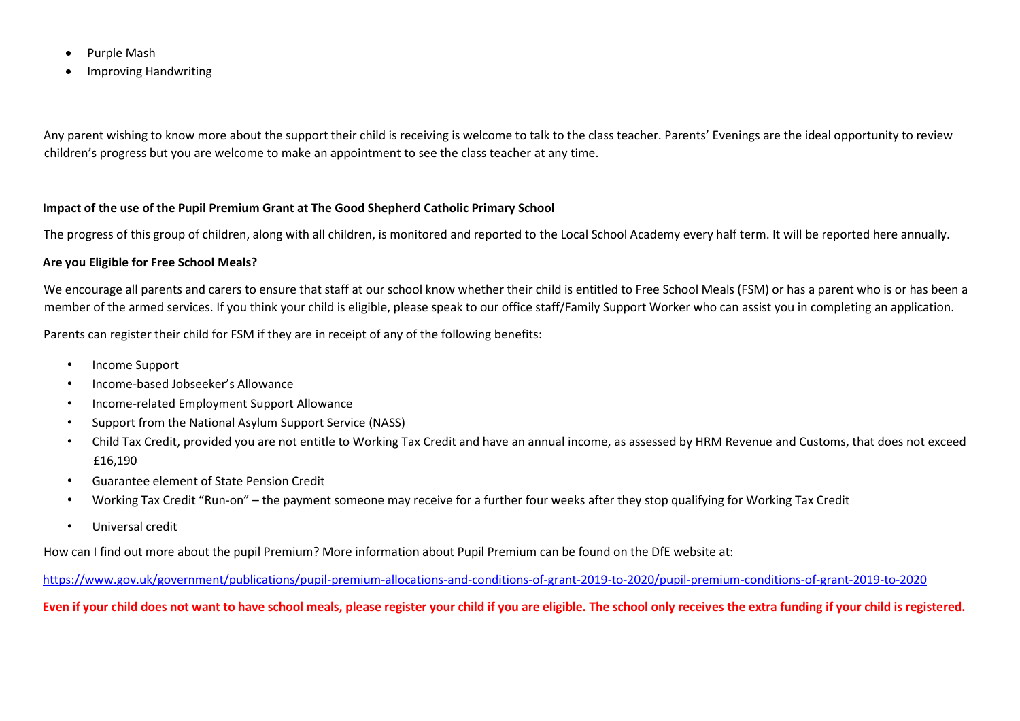- Purple Mash
- Improving Handwriting

Any parent wishing to know more about the support their child is receiving is welcome to talk to the class teacher. Parents' Evenings are the ideal opportunity to review children's progress but you are welcome to make an appointment to see the class teacher at any time.

## **Impact of the use of the Pupil Premium Grant at The Good Shepherd Catholic Primary School**

The progress of this group of children, along with all children, is monitored and reported to the Local School Academy every half term. It will be reported here annually.

#### **Are you Eligible for Free School Meals?**

We encourage all parents and carers to ensure that staff at our school know whether their child is entitled to Free School Meals (FSM) or has a parent who is or has been a member of the armed services. If you think your child is eligible, please speak to our office staff/Family Support Worker who can assist you in completing an application.

Parents can register their child for FSM if they are in receipt of any of the following benefits:

- Income Support
- Income-based Jobseeker's Allowance
- Income-related Employment Support Allowance
- Support from the National Asylum Support Service (NASS)
- Child Tax Credit, provided you are not entitle to Working Tax Credit and have an annual income, as assessed by HRM Revenue and Customs, that does not exceed £16,190
- Guarantee element of State Pension Credit
- Working Tax Credit "Run-on" the payment someone may receive for a further four weeks after they stop qualifying for Working Tax Credit
- Universal credit

How can I find out more about the pupil Premium? More information about Pupil Premium can be found on the DfE website at:

<https://www.gov.uk/government/publications/pupil-premium-allocations-and-conditions-of-grant-2019-to-2020/pupil-premium-conditions-of-grant-2019-to-2020>

**Even if your child does not want to have school meals, please register your child if you are eligible. The school only receives the extra funding if your child is registered.**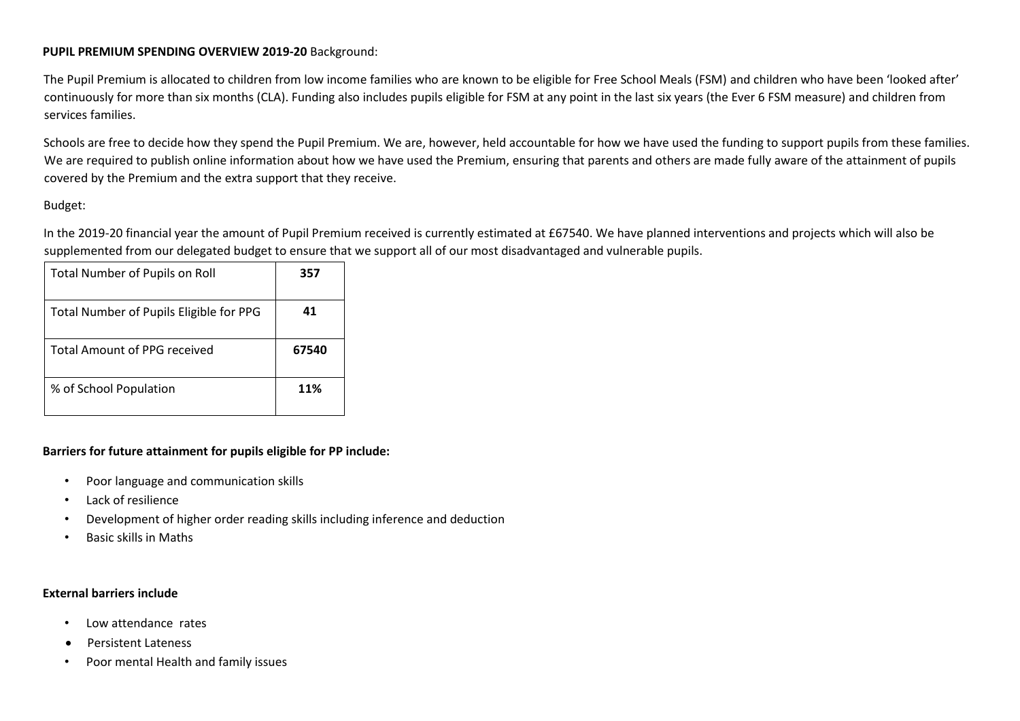## **PUPIL PREMIUM SPENDING OVERVIEW 2019-20** Background:

The Pupil Premium is allocated to children from low income families who are known to be eligible for Free School Meals (FSM) and children who have been 'looked after' continuously for more than six months (CLA). Funding also includes pupils eligible for FSM at any point in the last six years (the Ever 6 FSM measure) and children from services families.

Schools are free to decide how they spend the Pupil Premium. We are, however, held accountable for how we have used the funding to support pupils from these families. We are required to publish online information about how we have used the Premium, ensuring that parents and others are made fully aware of the attainment of pupils covered by the Premium and the extra support that they receive.

## Budget:

In the 2019-20 financial year the amount of Pupil Premium received is currently estimated at £67540. We have planned interventions and projects which will also be supplemented from our delegated budget to ensure that we support all of our most disadvantaged and vulnerable pupils.

| <b>Total Number of Pupils on Roll</b>   | 357   |
|-----------------------------------------|-------|
| Total Number of Pupils Eligible for PPG | 41    |
| <b>Total Amount of PPG received</b>     | 67540 |
| % of School Population                  | 11%   |

#### **Barriers for future attainment for pupils eligible for PP include:**

- Poor language and communication skills
- Lack of resilience
- Development of higher order reading skills including inference and deduction
- Basic skills in Maths

#### **External barriers include**

- Low attendance rates
- Persistent Lateness
- Poor mental Health and family issues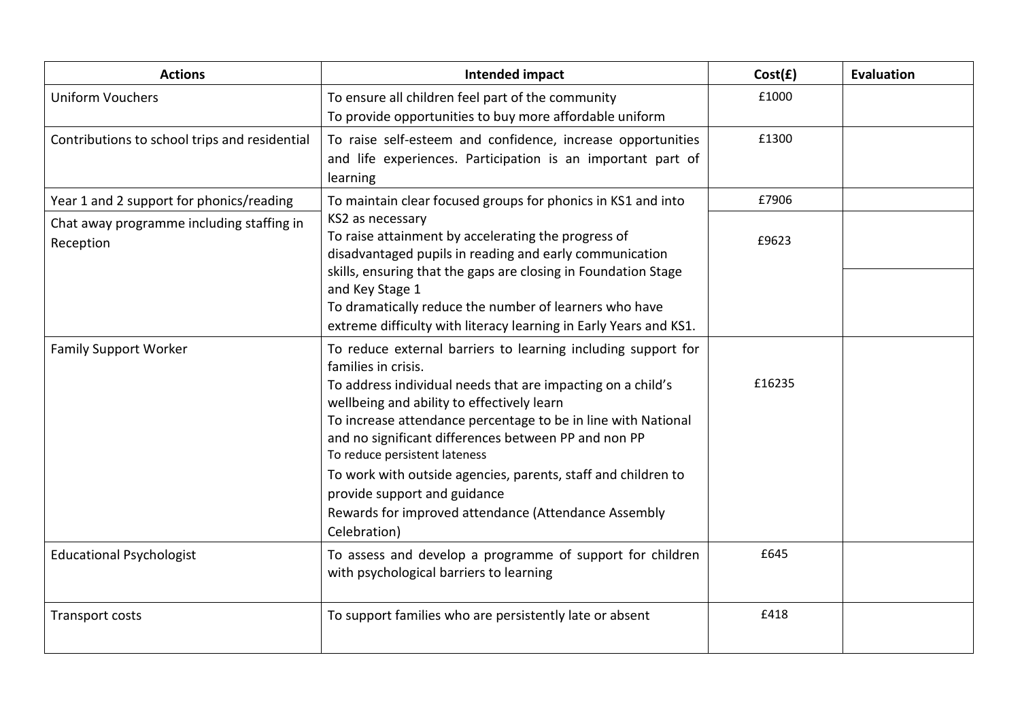| <b>Actions</b>                                         | <b>Intended impact</b>                                                                                                                                                                                                                                                                                                                                                                                                                                                                                                               | Cost(f) | <b>Evaluation</b> |
|--------------------------------------------------------|--------------------------------------------------------------------------------------------------------------------------------------------------------------------------------------------------------------------------------------------------------------------------------------------------------------------------------------------------------------------------------------------------------------------------------------------------------------------------------------------------------------------------------------|---------|-------------------|
| <b>Uniform Vouchers</b>                                | To ensure all children feel part of the community<br>To provide opportunities to buy more affordable uniform                                                                                                                                                                                                                                                                                                                                                                                                                         | £1000   |                   |
| Contributions to school trips and residential          | To raise self-esteem and confidence, increase opportunities<br>and life experiences. Participation is an important part of<br>learning                                                                                                                                                                                                                                                                                                                                                                                               | £1300   |                   |
| Year 1 and 2 support for phonics/reading               | To maintain clear focused groups for phonics in KS1 and into                                                                                                                                                                                                                                                                                                                                                                                                                                                                         | £7906   |                   |
| Chat away programme including staffing in<br>Reception | KS2 as necessary<br>To raise attainment by accelerating the progress of<br>disadvantaged pupils in reading and early communication<br>skills, ensuring that the gaps are closing in Foundation Stage                                                                                                                                                                                                                                                                                                                                 | £9623   |                   |
|                                                        | and Key Stage 1<br>To dramatically reduce the number of learners who have<br>extreme difficulty with literacy learning in Early Years and KS1.                                                                                                                                                                                                                                                                                                                                                                                       |         |                   |
| <b>Family Support Worker</b>                           | To reduce external barriers to learning including support for<br>families in crisis.<br>To address individual needs that are impacting on a child's<br>wellbeing and ability to effectively learn<br>To increase attendance percentage to be in line with National<br>and no significant differences between PP and non PP<br>To reduce persistent lateness<br>To work with outside agencies, parents, staff and children to<br>provide support and guidance<br>Rewards for improved attendance (Attendance Assembly<br>Celebration) | £16235  |                   |
| <b>Educational Psychologist</b>                        | To assess and develop a programme of support for children<br>with psychological barriers to learning                                                                                                                                                                                                                                                                                                                                                                                                                                 | £645    |                   |
| Transport costs                                        | To support families who are persistently late or absent                                                                                                                                                                                                                                                                                                                                                                                                                                                                              | £418    |                   |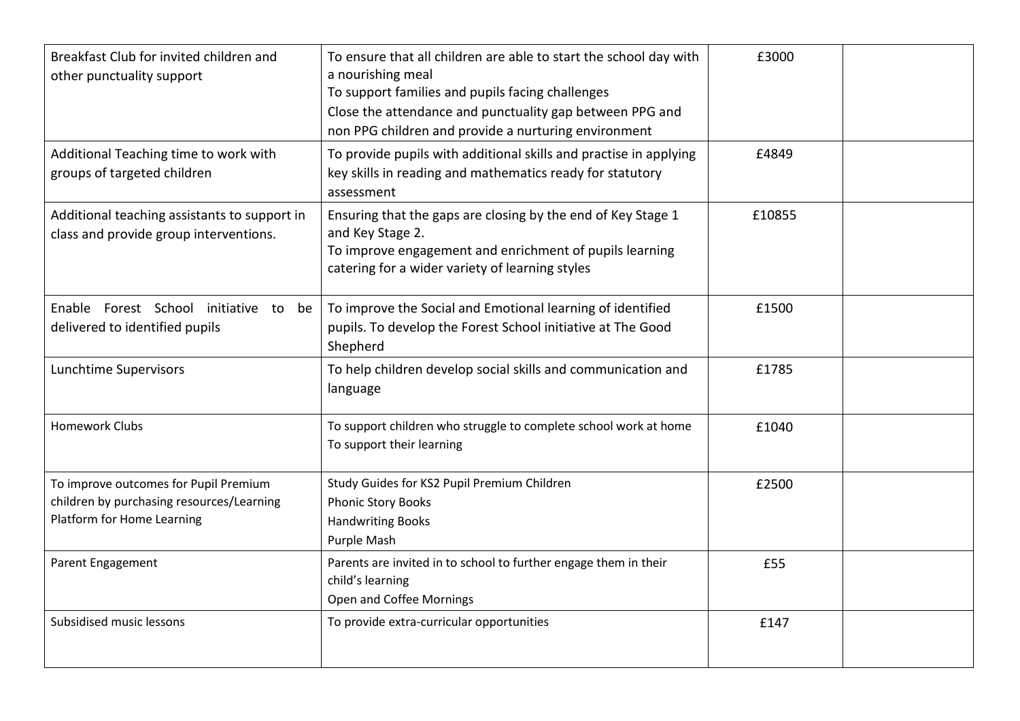| Breakfast Club for invited children and<br>other punctuality support                                             | To ensure that all children are able to start the school day with<br>a nourishing meal<br>To support families and pupils facing challenges<br>Close the attendance and punctuality gap between PPG and<br>non PPG children and provide a nurturing environment | £3000  |  |
|------------------------------------------------------------------------------------------------------------------|----------------------------------------------------------------------------------------------------------------------------------------------------------------------------------------------------------------------------------------------------------------|--------|--|
| Additional Teaching time to work with<br>groups of targeted children                                             | To provide pupils with additional skills and practise in applying<br>key skills in reading and mathematics ready for statutory<br>assessment                                                                                                                   | £4849  |  |
| Additional teaching assistants to support in<br>class and provide group interventions.                           | Ensuring that the gaps are closing by the end of Key Stage 1<br>and Key Stage 2.<br>To improve engagement and enrichment of pupils learning<br>catering for a wider variety of learning styles                                                                 | £10855 |  |
| Enable Forest School initiative to be<br>delivered to identified pupils                                          | To improve the Social and Emotional learning of identified<br>pupils. To develop the Forest School initiative at The Good<br>Shepherd                                                                                                                          | £1500  |  |
| Lunchtime Supervisors                                                                                            | To help children develop social skills and communication and<br>language                                                                                                                                                                                       | £1785  |  |
| <b>Homework Clubs</b>                                                                                            | To support children who struggle to complete school work at home<br>To support their learning                                                                                                                                                                  | £1040  |  |
| To improve outcomes for Pupil Premium<br>children by purchasing resources/Learning<br>Platform for Home Learning | Study Guides for KS2 Pupil Premium Children<br><b>Phonic Story Books</b><br><b>Handwriting Books</b><br>Purple Mash                                                                                                                                            | £2500  |  |
| Parent Engagement                                                                                                | Parents are invited in to school to further engage them in their<br>child's learning<br>Open and Coffee Mornings                                                                                                                                               | £55    |  |
| Subsidised music lessons                                                                                         | To provide extra-curricular opportunities                                                                                                                                                                                                                      | £147   |  |